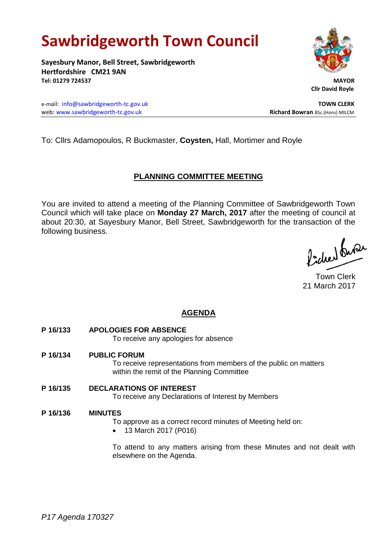# **Sawbridgeworth Town Council**

**Sayesbury Manor, Bell Street, Sawbridgeworth Hertfordshire CM21 9AN Tel: 01279 724537 MAYOR**

e-mail: [info@sawbridgeworth-tc.gov.uk](mailto:info@sawbridgeworth-tc.gov.uk) **TOWN CLERK** web: www.sawbridgeworth-tc.gov.uk **Richard Bowran** BSc.(Hons) MILCM



 **Cllr David Royle**

To: Cllrs Adamopoulos, R Buckmaster, **Coysten,** Hall, Mortimer and Royle

### **PLANNING COMMITTEE MEETING**

You are invited to attend a meeting of the Planning Committee of Sawbridgeworth Town Council which will take place on **Monday 27 March, 2017** after the meeting of council at about 20:30, at Sayesbury Manor, Bell Street, Sawbridgeworth for the transaction of the following business.

lacher buse

Town Clerk 21 March 2017

## **AGENDA**

**P 16/133 APOLOGIES FOR ABSENCE**

To receive any apologies for absence

**P 16/134 PUBLIC FORUM**

To receive representations from members of the public on matters within the remit of the Planning Committee

**P 16/135 DECLARATIONS OF INTEREST** To receive any Declarations of Interest by Members

### **P 16/136 MINUTES**

To approve as a correct record minutes of Meeting held on:

13 March 2017 (P016)

To attend to any matters arising from these Minutes and not dealt with elsewhere on the Agenda.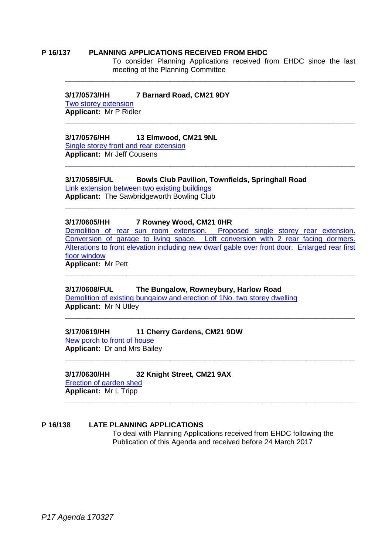### **P 16/137 PLANNING APPLICATIONS RECEIVED FROM EHDC**

To consider Planning Applications received from EHDC since the last meeting of the Planning Committee

**\_\_\_\_\_\_\_\_\_\_\_\_\_\_\_\_\_\_\_\_\_\_\_\_\_\_\_\_\_\_\_\_\_\_\_\_\_\_\_\_\_\_\_\_\_\_\_\_\_\_\_\_\_\_\_\_\_\_\_\_\_\_\_\_\_\_**

**\_\_\_\_\_\_\_\_\_\_\_\_\_\_\_\_\_\_\_\_\_\_\_\_\_\_\_\_\_\_\_\_\_\_\_\_\_\_\_\_\_\_\_\_\_\_\_\_\_\_\_\_\_\_\_\_\_\_\_\_\_\_\_\_\_\_**

**\_\_\_\_\_\_\_\_\_\_\_\_\_\_\_\_\_\_\_\_\_\_\_\_\_\_\_\_\_\_\_\_\_\_\_\_\_\_\_\_\_\_\_\_\_\_\_\_\_\_\_\_\_\_\_\_\_\_\_\_\_\_\_\_\_\_**

**\_\_\_\_\_\_\_\_\_\_\_\_\_\_\_\_\_\_\_\_\_\_\_\_\_\_\_\_\_\_\_\_\_\_\_\_\_\_\_\_\_\_\_\_\_\_\_\_\_\_\_\_\_\_\_\_\_\_\_\_\_\_\_\_\_\_**

### **3/17/0573/HH 7 Barnard Road, CM21 9DY**

[Two storey extension](https://publicaccess.eastherts.gov.uk/online-applications/applicationDetails.do?activeTab=summary&keyVal=OMG0R1GL00X00) **Applicant:** Mr P Ridler

### **3/17/0576/HH 13 Elmwood, CM21 9NL**

[Single storey front and rear extension](https://publicaccess.eastherts.gov.uk/online-applications/applicationDetails.do?activeTab=summary&keyVal=OMGCJ5GLFWD00) **Applicant:** Mr Jeff Cousens

**3/17/0585/FUL Bowls Club Pavilion, Townfields, Springhall Road** [Link extension between two existing buildings](https://publicaccess.eastherts.gov.uk/online-applications/applicationDetails.do?activeTab=summary&keyVal=OMHW2FGLFWZ00)

**Applicant:** The Sawbridgeworth Bowling Club

### **3/17/0605/HH 7 Rowney Wood, CM21 0HR**

[Demolition of rear sun room extension. Proposed single storey rear extension.](https://publicaccess.eastherts.gov.uk/online-applications/applicationDetails.do?activeTab=summary&keyVal=OMJQR9GLFXU00)  [Conversion of garage to living space. Loft conversion with 2 rear facing dormers.](https://publicaccess.eastherts.gov.uk/online-applications/applicationDetails.do?activeTab=summary&keyVal=OMJQR9GLFXU00)  [Alterations to front elevation including new dwarf gable over front door. Enlarged rear first](https://publicaccess.eastherts.gov.uk/online-applications/applicationDetails.do?activeTab=summary&keyVal=OMJQR9GLFXU00)  [floor window](https://publicaccess.eastherts.gov.uk/online-applications/applicationDetails.do?activeTab=summary&keyVal=OMJQR9GLFXU00)

**\_\_\_\_\_\_\_\_\_\_\_\_\_\_\_\_\_\_\_\_\_\_\_\_\_\_\_\_\_\_\_\_\_\_\_\_\_\_\_\_\_\_\_\_\_\_\_\_\_\_\_\_\_\_\_\_\_\_\_\_\_\_\_\_\_\_**

**\_\_\_\_\_\_\_\_\_\_\_\_\_\_\_\_\_\_\_\_\_\_\_\_\_\_\_\_\_\_\_\_\_\_\_\_\_\_\_\_\_\_\_\_\_\_\_\_\_\_\_\_\_\_\_\_\_\_\_\_\_\_\_\_\_\_**

**\_\_\_\_\_\_\_\_\_\_\_\_\_\_\_\_\_\_\_\_\_\_\_\_\_\_\_\_\_\_\_\_\_\_\_\_\_\_\_\_\_\_\_\_\_\_\_\_\_\_\_\_\_\_\_\_\_\_\_\_\_\_\_\_\_\_**

**Applicant:** Mr Pett

# **3/17/0608/FUL The Bungalow, Rowneybury, Harlow Road**

[Demolition of existing bungalow and erection of 1No. two storey dwelling](https://publicaccess.eastherts.gov.uk/online-applications/applicationDetails.do?activeTab=summary&keyVal=OMK1VCGLFY100) **Applicant:** Mr N Utley **\_\_\_\_\_\_\_\_\_\_\_\_\_\_\_\_\_\_\_\_\_\_\_\_\_\_\_\_\_\_\_\_\_\_\_\_\_\_\_\_\_\_\_\_\_\_\_\_\_\_\_\_\_\_\_\_\_\_\_\_\_\_\_\_\_\_**

### **3/17/0619/HH 11 Cherry Gardens, CM21 9DW**

[New porch to front of house](https://publicaccess.eastherts.gov.uk/online-applications/applicationDetails.do?activeTab=summary&keyVal=OMN4YPGLFYY00) **Applicant:** Dr and Mrs Bailey

# **3/17/0630/HH 32 Knight Street, CM21 9AX**

[Erection of garden shed](https://publicaccess.eastherts.gov.uk/online-applications/applicationDetails.do?activeTab=summary&keyVal=OMR4KZGL00X00) **Applicant:** Mr L Tripp

### **P 16/138 LATE PLANNING APPLICATIONS**

To deal with Planning Applications received from EHDC following the Publication of this Agenda and received before 24 March 2017